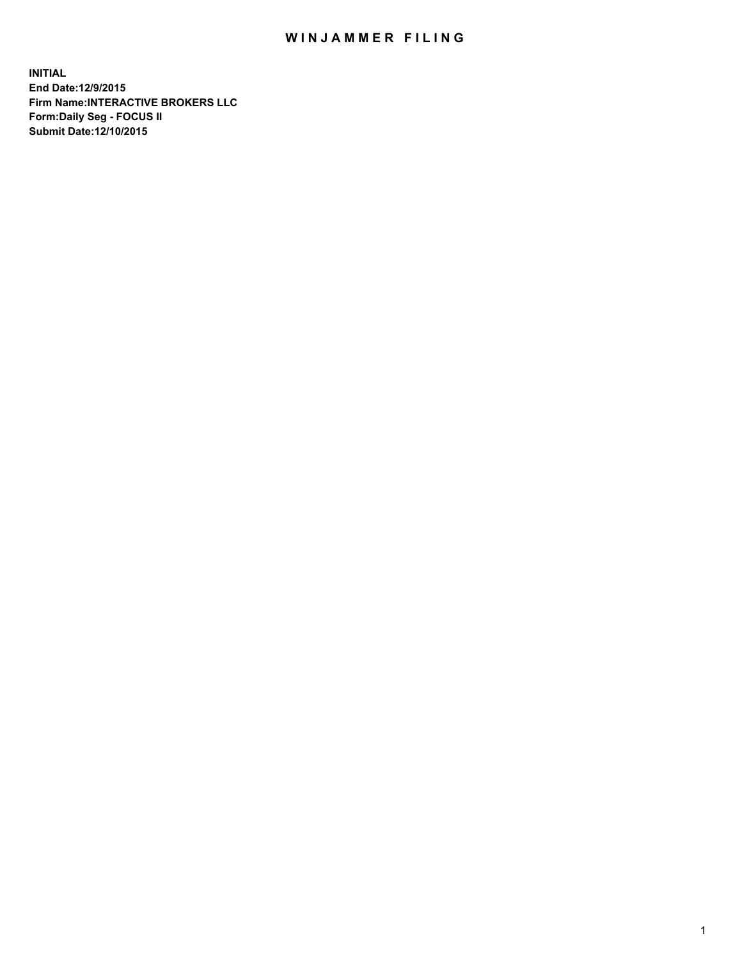## WIN JAMMER FILING

**INITIAL End Date:12/9/2015 Firm Name:INTERACTIVE BROKERS LLC Form:Daily Seg - FOCUS II Submit Date:12/10/2015**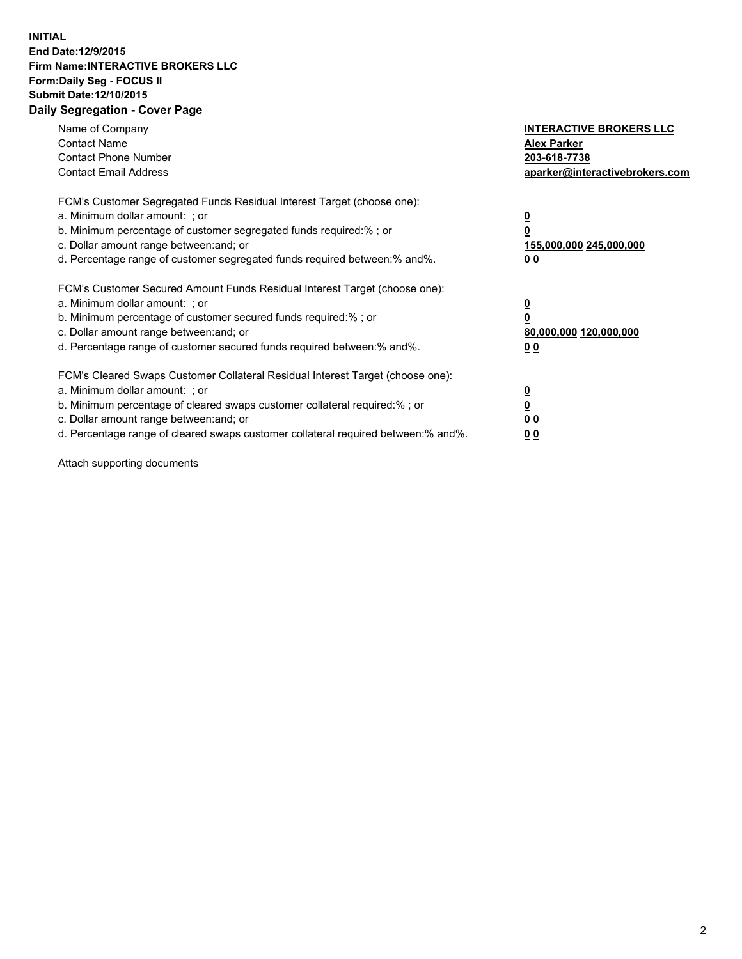## **INITIAL End Date:12/9/2015 Firm Name:INTERACTIVE BROKERS LLC Form:Daily Seg - FOCUS II Submit Date:12/10/2015 Daily Segregation - Cover Page**

| Name of Company<br><b>Contact Name</b><br><b>Contact Phone Number</b><br><b>Contact Email Address</b>                                                                                                                                                                                                                         | <b>INTERACTIVE BROKERS LLC</b><br><b>Alex Parker</b><br>203-618-7738<br>aparker@interactivebrokers.com |
|-------------------------------------------------------------------------------------------------------------------------------------------------------------------------------------------------------------------------------------------------------------------------------------------------------------------------------|--------------------------------------------------------------------------------------------------------|
| FCM's Customer Segregated Funds Residual Interest Target (choose one):<br>a. Minimum dollar amount: ; or<br>b. Minimum percentage of customer segregated funds required:% ; or<br>c. Dollar amount range between: and; or<br>d. Percentage range of customer segregated funds required between:% and%.                        | <u>0</u><br><u>155,000,000 245,000,000</u><br>00                                                       |
| FCM's Customer Secured Amount Funds Residual Interest Target (choose one):<br>a. Minimum dollar amount: ; or<br>b. Minimum percentage of customer secured funds required:% ; or<br>c. Dollar amount range between: and; or<br>d. Percentage range of customer secured funds required between: % and %.                        | $\overline{\mathbf{0}}$<br>80,000,000 120,000,000<br>00                                                |
| FCM's Cleared Swaps Customer Collateral Residual Interest Target (choose one):<br>a. Minimum dollar amount: ; or<br>b. Minimum percentage of cleared swaps customer collateral required:%; or<br>c. Dollar amount range between: and; or<br>d. Percentage range of cleared swaps customer collateral required between:% and%. | <u>0</u><br>0 <sub>0</sub><br><u>00</u>                                                                |

Attach supporting documents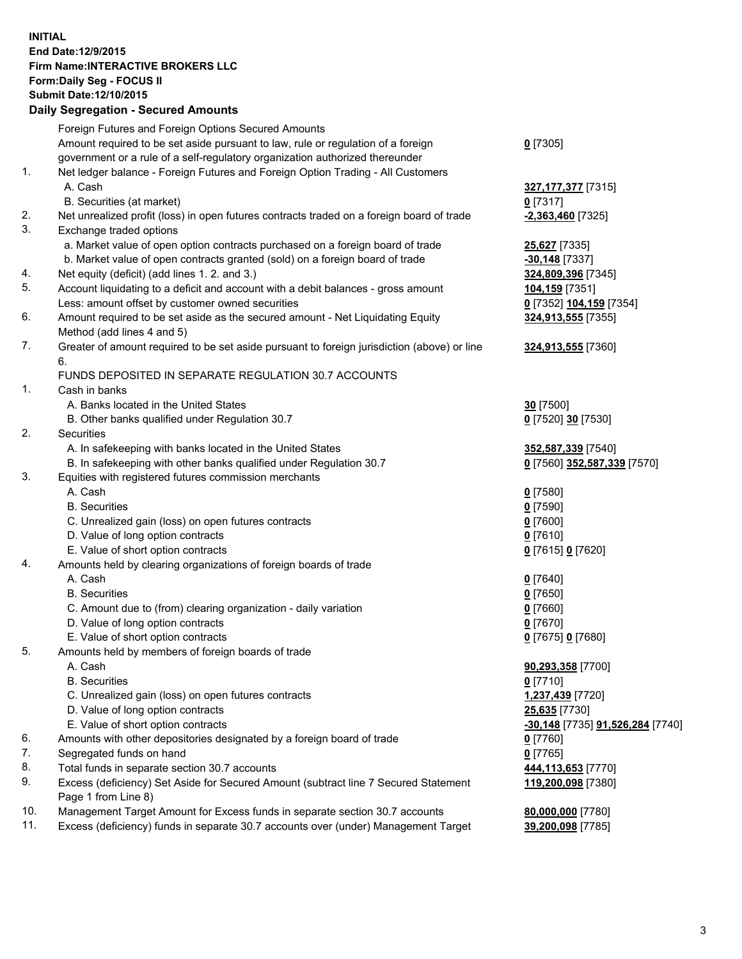## **INITIAL End Date:12/9/2015 Firm Name:INTERACTIVE BROKERS LLC Form:Daily Seg - FOCUS II Submit Date:12/10/2015 Daily Segregation - Secured Amounts**

|     | Daily Jegregation - Jeculed Aniounts                                                        |                                  |
|-----|---------------------------------------------------------------------------------------------|----------------------------------|
|     | Foreign Futures and Foreign Options Secured Amounts                                         |                                  |
|     | Amount required to be set aside pursuant to law, rule or regulation of a foreign            | $0$ [7305]                       |
|     | government or a rule of a self-regulatory organization authorized thereunder                |                                  |
| 1.  | Net ledger balance - Foreign Futures and Foreign Option Trading - All Customers             |                                  |
|     | A. Cash                                                                                     | 327,177,377 [7315]               |
|     |                                                                                             |                                  |
|     | B. Securities (at market)                                                                   | $0$ [7317]                       |
| 2.  | Net unrealized profit (loss) in open futures contracts traded on a foreign board of trade   | $-2,363,460$ [7325]              |
| 3.  | Exchange traded options                                                                     |                                  |
|     | a. Market value of open option contracts purchased on a foreign board of trade              | <b>25,627</b> [7335]             |
|     | b. Market value of open contracts granted (sold) on a foreign board of trade                | $-30,148$ [7337]                 |
| 4.  | Net equity (deficit) (add lines 1.2. and 3.)                                                | 324,809,396 [7345]               |
| 5.  | Account liquidating to a deficit and account with a debit balances - gross amount           | 104,159 [7351]                   |
|     | Less: amount offset by customer owned securities                                            | 0 [7352] 104,159 [7354]          |
| 6.  | Amount required to be set aside as the secured amount - Net Liquidating Equity              | 324,913,555 [7355]               |
|     | Method (add lines 4 and 5)                                                                  |                                  |
| 7.  | Greater of amount required to be set aside pursuant to foreign jurisdiction (above) or line | 324,913,555 [7360]               |
|     | 6.                                                                                          |                                  |
|     | FUNDS DEPOSITED IN SEPARATE REGULATION 30.7 ACCOUNTS                                        |                                  |
| 1.  | Cash in banks                                                                               |                                  |
|     | A. Banks located in the United States                                                       | 30 [7500]                        |
|     | B. Other banks qualified under Regulation 30.7                                              | 0 [7520] 30 [7530]               |
| 2.  | Securities                                                                                  |                                  |
|     | A. In safekeeping with banks located in the United States                                   | 352,587,339 [7540]               |
|     | B. In safekeeping with other banks qualified under Regulation 30.7                          | 0 [7560] 352,587,339 [7570]      |
| 3.  | Equities with registered futures commission merchants                                       |                                  |
|     | A. Cash                                                                                     | $0$ [7580]                       |
|     | <b>B.</b> Securities                                                                        | $0$ [7590]                       |
|     |                                                                                             | $0$ [7600]                       |
|     | C. Unrealized gain (loss) on open futures contracts                                         |                                  |
|     | D. Value of long option contracts                                                           | $0$ [7610]                       |
|     | E. Value of short option contracts                                                          | 0 [7615] 0 [7620]                |
| 4.  | Amounts held by clearing organizations of foreign boards of trade                           |                                  |
|     | A. Cash                                                                                     | $0$ [7640]                       |
|     | <b>B.</b> Securities                                                                        | $0$ [7650]                       |
|     | C. Amount due to (from) clearing organization - daily variation                             | $0$ [7660]                       |
|     | D. Value of long option contracts                                                           | $0$ [7670]                       |
|     | E. Value of short option contracts                                                          | 0 [7675] 0 [7680]                |
| 5.  | Amounts held by members of foreign boards of trade                                          |                                  |
|     | A. Cash                                                                                     | 90,293,358 [7700]                |
|     | <b>B.</b> Securities                                                                        | $0$ [7710]                       |
|     | C. Unrealized gain (loss) on open futures contracts                                         | 1,237,439 [7720]                 |
|     | D. Value of long option contracts                                                           | 25,635 [7730]                    |
|     | E. Value of short option contracts                                                          | -30,148 [7735] 91,526,284 [7740] |
| 6.  | Amounts with other depositories designated by a foreign board of trade                      | 0 [7760]                         |
| 7.  | Segregated funds on hand                                                                    | $0$ [7765]                       |
| 8.  | Total funds in separate section 30.7 accounts                                               | 444,113,653 [7770]               |
| 9.  | Excess (deficiency) Set Aside for Secured Amount (subtract line 7 Secured Statement         | 119,200,098 [7380]               |
|     | Page 1 from Line 8)                                                                         |                                  |
| 10. | Management Target Amount for Excess funds in separate section 30.7 accounts                 | 80,000,000 [7780]                |
| 11. | Excess (deficiency) funds in separate 30.7 accounts over (under) Management Target          | 39,200,098 [7785]                |
|     |                                                                                             |                                  |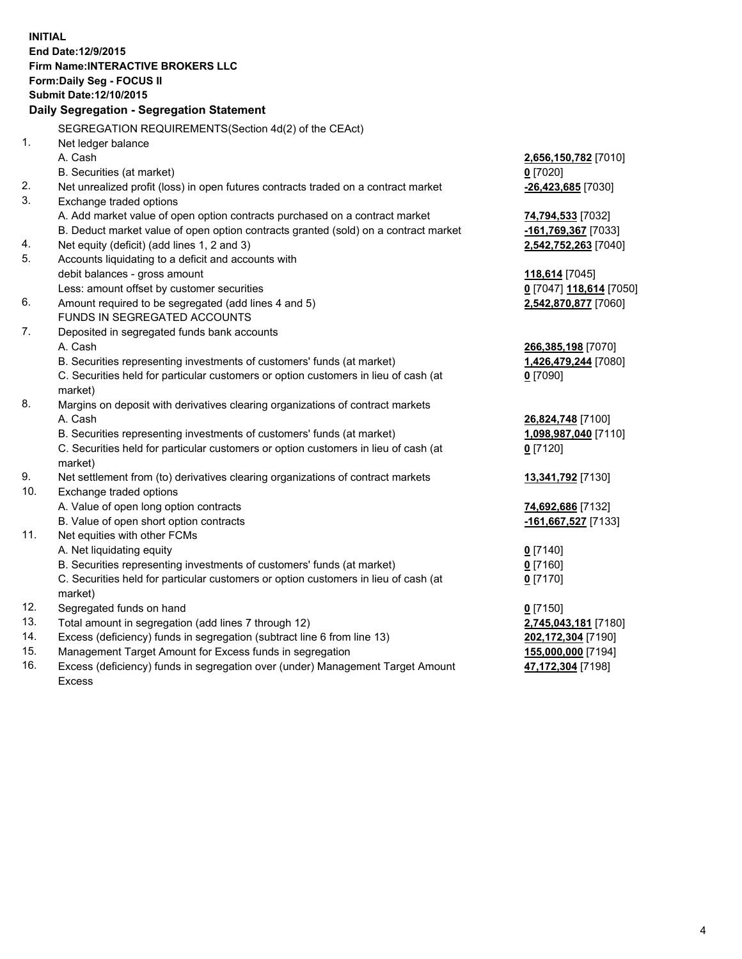**INITIAL End Date:12/9/2015 Firm Name:INTERACTIVE BROKERS LLC Form:Daily Seg - FOCUS II Submit Date:12/10/2015 Daily Segregation - Segregation Statement** SEGREGATION REQUIREMENTS(Section 4d(2) of the CEAct) 1. Net ledger balance A. Cash **2,656,150,782** [7010] B. Securities (at market) **0** [7020] 2. Net unrealized profit (loss) in open futures contracts traded on a contract market **-26,423,685** [7030] 3. Exchange traded options A. Add market value of open option contracts purchased on a contract market **74,794,533** [7032] B. Deduct market value of open option contracts granted (sold) on a contract market **-161,769,367** [7033] 4. Net equity (deficit) (add lines 1, 2 and 3) **2,542,752,263** [7040] 5. Accounts liquidating to a deficit and accounts with debit balances - gross amount **118,614** [7045] Less: amount offset by customer securities **0** [7047] **118,614** [7050] 6. Amount required to be segregated (add lines 4 and 5) **2,542,870,877** [7060] FUNDS IN SEGREGATED ACCOUNTS 7. Deposited in segregated funds bank accounts A. Cash **266,385,198** [7070] B. Securities representing investments of customers' funds (at market) **1,426,479,244** [7080] C. Securities held for particular customers or option customers in lieu of cash (at market) **0** [7090] 8. Margins on deposit with derivatives clearing organizations of contract markets A. Cash **26,824,748** [7100] B. Securities representing investments of customers' funds (at market) **1,098,987,040** [7110] C. Securities held for particular customers or option customers in lieu of cash (at market) **0** [7120] 9. Net settlement from (to) derivatives clearing organizations of contract markets **13,341,792** [7130] 10. Exchange traded options A. Value of open long option contracts **74,692,686** [7132] B. Value of open short option contracts **-161,667,527** [7133] 11. Net equities with other FCMs A. Net liquidating equity **0** [7140] B. Securities representing investments of customers' funds (at market) **0** [7160] C. Securities held for particular customers or option customers in lieu of cash (at market) **0** [7170] 12. Segregated funds on hand **0** [7150] 13. Total amount in segregation (add lines 7 through 12) **2,745,043,181** [7180] 14. Excess (deficiency) funds in segregation (subtract line 6 from line 13) **202,172,304** [7190] 15. Management Target Amount for Excess funds in segregation **155,000,000** [7194]

16. Excess (deficiency) funds in segregation over (under) Management Target Amount Excess

**47,172,304** [7198]